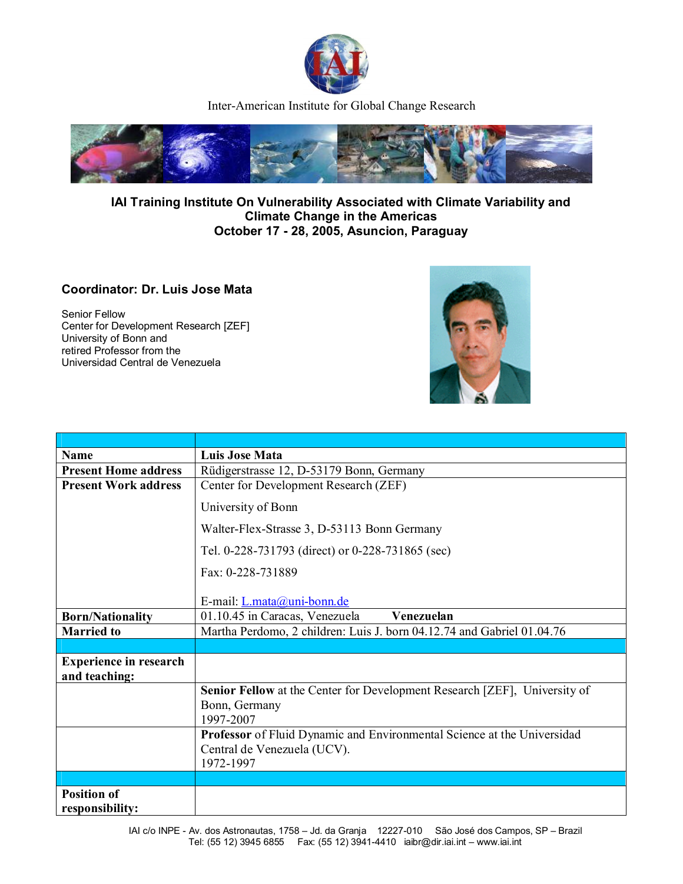

Inter-American Institute for Global Change Research



## **IAI Training Institute On Vulnerability Associated with Climate Variability and Climate Change in the Americas October 17 - 28, 2005, Asuncion, Paraguay**

## **Coordinator: Dr. Luis Jose Mata**

Senior Fellow Center for Development Research [ZEF] University of Bonn and retired Professor from the Universidad Central de Venezuela



| <b>Name</b>                                    | <b>Luis Jose Mata</b>                                                     |
|------------------------------------------------|---------------------------------------------------------------------------|
| <b>Present Home address</b>                    | Rüdigerstrasse 12, D-53179 Bonn, Germany                                  |
| <b>Present Work address</b>                    | Center for Development Research (ZEF)                                     |
|                                                | University of Bonn                                                        |
|                                                | Walter-Flex-Strasse 3, D-53113 Bonn Germany                               |
|                                                | Tel. 0-228-731793 (direct) or 0-228-731865 (sec)                          |
|                                                | Fax: 0-228-731889                                                         |
|                                                | E-mail: L.mata@uni-bonn.de                                                |
| <b>Born/Nationality</b>                        | 01.10.45 in Caracas, Venezuela<br>Venezuelan                              |
| <b>Married to</b>                              | Martha Perdomo, 2 children: Luis J. born 04.12.74 and Gabriel 01.04.76    |
|                                                |                                                                           |
| <b>Experience in research</b><br>and teaching: |                                                                           |
|                                                | Senior Fellow at the Center for Development Research [ZEF], University of |
|                                                | Bonn, Germany                                                             |
|                                                | 1997-2007                                                                 |
|                                                | Professor of Fluid Dynamic and Environmental Science at the Universidad   |
|                                                | Central de Venezuela (UCV).<br>1972-1997                                  |
|                                                |                                                                           |
| <b>Position of</b>                             |                                                                           |
| responsibility:                                |                                                                           |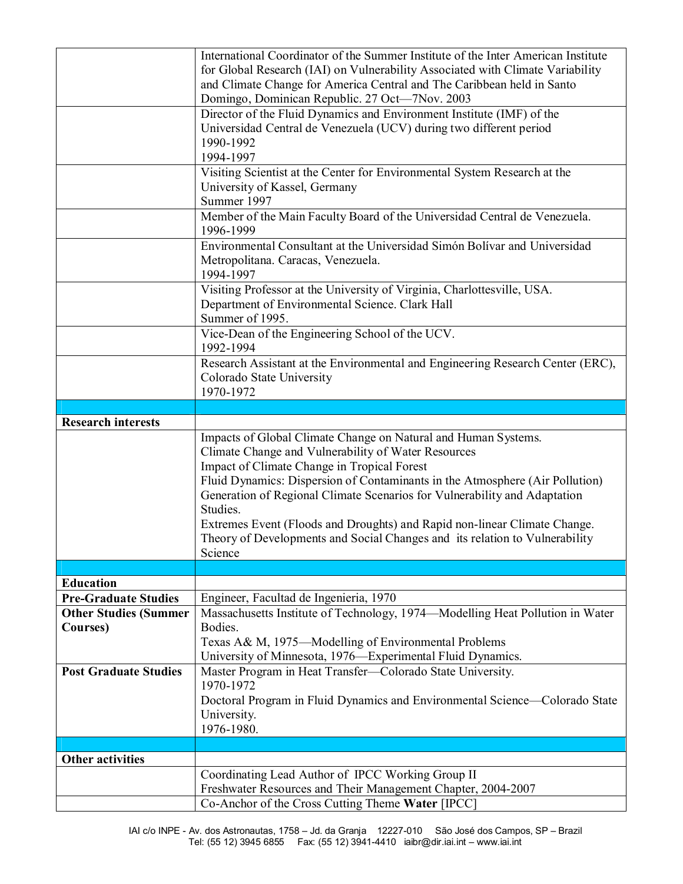|                                                             | International Coordinator of the Summer Institute of the Inter American Institute                                        |
|-------------------------------------------------------------|--------------------------------------------------------------------------------------------------------------------------|
|                                                             | for Global Research (IAI) on Vulnerability Associated with Climate Variability                                           |
|                                                             | and Climate Change for America Central and The Caribbean held in Santo                                                   |
|                                                             | Domingo, Dominican Republic. 27 Oct-7Nov. 2003                                                                           |
|                                                             | Director of the Fluid Dynamics and Environment Institute (IMF) of the                                                    |
|                                                             | Universidad Central de Venezuela (UCV) during two different period                                                       |
|                                                             | 1990-1992                                                                                                                |
|                                                             | 1994-1997                                                                                                                |
|                                                             | Visiting Scientist at the Center for Environmental System Research at the                                                |
|                                                             | University of Kassel, Germany                                                                                            |
|                                                             | Summer 1997                                                                                                              |
|                                                             | Member of the Main Faculty Board of the Universidad Central de Venezuela.                                                |
|                                                             | 1996-1999                                                                                                                |
|                                                             | Environmental Consultant at the Universidad Simón Bolívar and Universidad                                                |
|                                                             | Metropolitana. Caracas, Venezuela.                                                                                       |
|                                                             | 1994-1997                                                                                                                |
|                                                             | Visiting Professor at the University of Virginia, Charlottesville, USA.                                                  |
|                                                             | Department of Environmental Science. Clark Hall                                                                          |
|                                                             | Summer of 1995.                                                                                                          |
|                                                             | Vice-Dean of the Engineering School of the UCV.                                                                          |
|                                                             | 1992-1994                                                                                                                |
|                                                             | Research Assistant at the Environmental and Engineering Research Center (ERC),                                           |
|                                                             | Colorado State University                                                                                                |
|                                                             | 1970-1972                                                                                                                |
|                                                             |                                                                                                                          |
| <b>Research interests</b>                                   |                                                                                                                          |
|                                                             | Impacts of Global Climate Change on Natural and Human Systems.                                                           |
|                                                             |                                                                                                                          |
|                                                             | Climate Change and Vulnerability of Water Resources                                                                      |
|                                                             | Impact of Climate Change in Tropical Forest                                                                              |
|                                                             | Fluid Dynamics: Dispersion of Contaminants in the Atmosphere (Air Pollution)                                             |
|                                                             | Generation of Regional Climate Scenarios for Vulnerability and Adaptation                                                |
|                                                             | Studies.                                                                                                                 |
|                                                             | Extremes Event (Floods and Droughts) and Rapid non-linear Climate Change.                                                |
|                                                             | Theory of Developments and Social Changes and its relation to Vulnerability                                              |
|                                                             | Science                                                                                                                  |
|                                                             |                                                                                                                          |
| <b>Education</b>                                            |                                                                                                                          |
| <b>Pre-Graduate Studies</b><br><b>Other Studies (Summer</b> | Engineer, Facultad de Ingenieria, 1970<br>Massachusetts Institute of Technology, 1974—Modelling Heat Pollution in Water  |
| Courses)                                                    | Bodies.                                                                                                                  |
|                                                             |                                                                                                                          |
|                                                             | Texas A& M, 1975-Modelling of Environmental Problems                                                                     |
| <b>Post Graduate Studies</b>                                | University of Minnesota, 1976—Experimental Fluid Dynamics.<br>Master Program in Heat Transfer-Colorado State University. |
|                                                             | 1970-1972                                                                                                                |
|                                                             | Doctoral Program in Fluid Dynamics and Environmental Science—Colorado State                                              |
|                                                             | University.                                                                                                              |
|                                                             | 1976-1980.                                                                                                               |
|                                                             |                                                                                                                          |
| <b>Other activities</b>                                     |                                                                                                                          |
|                                                             | Coordinating Lead Author of IPCC Working Group II                                                                        |
|                                                             | Freshwater Resources and Their Management Chapter, 2004-2007<br>Co-Anchor of the Cross Cutting Theme Water [IPCC]        |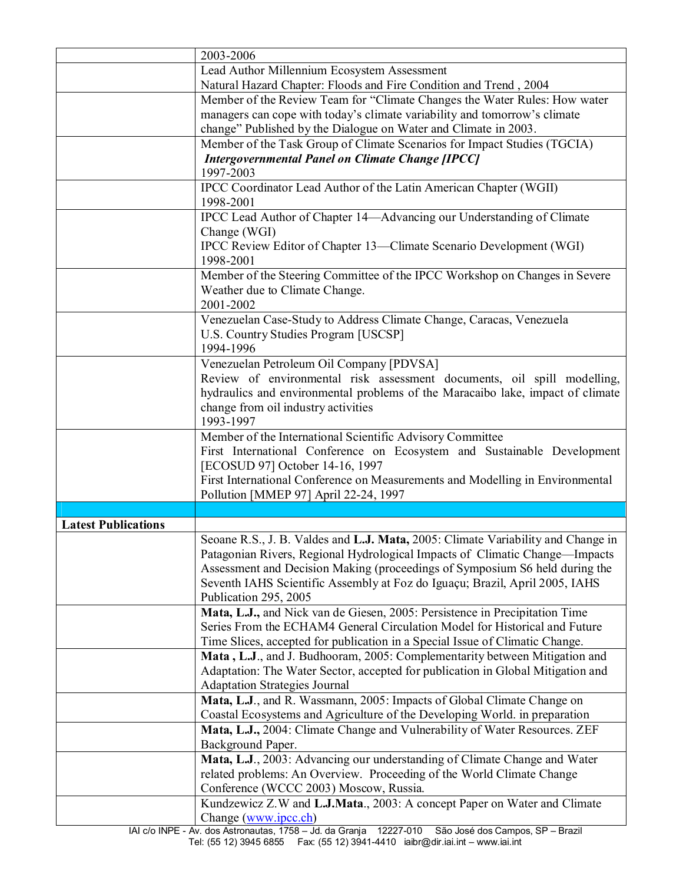|                            | 2003-2006                                                                                                                                                  |
|----------------------------|------------------------------------------------------------------------------------------------------------------------------------------------------------|
|                            | Lead Author Millennium Ecosystem Assessment                                                                                                                |
|                            | Natural Hazard Chapter: Floods and Fire Condition and Trend, 2004                                                                                          |
|                            | Member of the Review Team for "Climate Changes the Water Rules: How water                                                                                  |
|                            | managers can cope with today's climate variability and tomorrow's climate                                                                                  |
|                            | change" Published by the Dialogue on Water and Climate in 2003.                                                                                            |
|                            | Member of the Task Group of Climate Scenarios for Impact Studies (TGCIA)                                                                                   |
|                            | <b>Intergovernmental Panel on Climate Change [IPCC]</b>                                                                                                    |
|                            | 1997-2003                                                                                                                                                  |
|                            | IPCC Coordinator Lead Author of the Latin American Chapter (WGII)<br>1998-2001                                                                             |
|                            | IPCC Lead Author of Chapter 14—Advancing our Understanding of Climate                                                                                      |
|                            | Change (WGI)                                                                                                                                               |
|                            | IPCC Review Editor of Chapter 13—Climate Scenario Development (WGI)                                                                                        |
|                            | 1998-2001                                                                                                                                                  |
|                            | Member of the Steering Committee of the IPCC Workshop on Changes in Severe                                                                                 |
|                            | Weather due to Climate Change.                                                                                                                             |
|                            | 2001-2002                                                                                                                                                  |
|                            | Venezuelan Case-Study to Address Climate Change, Caracas, Venezuela                                                                                        |
|                            | U.S. Country Studies Program [USCSP]                                                                                                                       |
|                            | 1994-1996                                                                                                                                                  |
|                            | Venezuelan Petroleum Oil Company [PDVSA]                                                                                                                   |
|                            | Review of environmental risk assessment documents, oil spill modelling,                                                                                    |
|                            | hydraulics and environmental problems of the Maracaibo lake, impact of climate                                                                             |
|                            | change from oil industry activities                                                                                                                        |
|                            | 1993-1997                                                                                                                                                  |
|                            | Member of the International Scientific Advisory Committee                                                                                                  |
|                            | First International Conference on Ecosystem and Sustainable Development                                                                                    |
|                            | [ECOSUD 97] October 14-16, 1997                                                                                                                            |
|                            | First International Conference on Measurements and Modelling in Environmental                                                                              |
|                            | Pollution [MMEP 97] April 22-24, 1997                                                                                                                      |
|                            |                                                                                                                                                            |
| <b>Latest Publications</b> |                                                                                                                                                            |
|                            | Seoane R.S., J. B. Valdes and L.J. Mata, 2005: Climate Variability and Change in                                                                           |
|                            | Patagonian Rivers, Regional Hydrological Impacts of Climatic Change—Impacts<br>Assessment and Decision Making (proceedings of Symposium S6 held during the |
|                            | Seventh IAHS Scientific Assembly at Foz do Iguaçu; Brazil, April 2005, IAHS                                                                                |
|                            | Publication 295, 2005                                                                                                                                      |
|                            | Mata, L.J., and Nick van de Giesen, 2005: Persistence in Precipitation Time                                                                                |
|                            | Series From the ECHAM4 General Circulation Model for Historical and Future                                                                                 |
|                            | Time Slices, accepted for publication in a Special Issue of Climatic Change.                                                                               |
|                            | Mata, L.J., and J. Budhooram, 2005: Complementarity between Mitigation and                                                                                 |
|                            | Adaptation: The Water Sector, accepted for publication in Global Mitigation and                                                                            |
|                            | <b>Adaptation Strategies Journal</b>                                                                                                                       |
|                            | Mata, L.J., and R. Wassmann, 2005: Impacts of Global Climate Change on                                                                                     |
|                            | Coastal Ecosystems and Agriculture of the Developing World. in preparation                                                                                 |
|                            | Mata, L.J., 2004: Climate Change and Vulnerability of Water Resources. ZEF                                                                                 |
|                            | Background Paper.                                                                                                                                          |
|                            | Mata, L.J., 2003: Advancing our understanding of Climate Change and Water                                                                                  |
|                            | related problems: An Overview. Proceeding of the World Climate Change                                                                                      |
|                            | Conference (WCCC 2003) Moscow, Russia.                                                                                                                     |
|                            | Kundzewicz Z.W and L.J.Mata., 2003: A concept Paper on Water and Climate                                                                                   |
|                            | Change (www.ipcc.ch)                                                                                                                                       |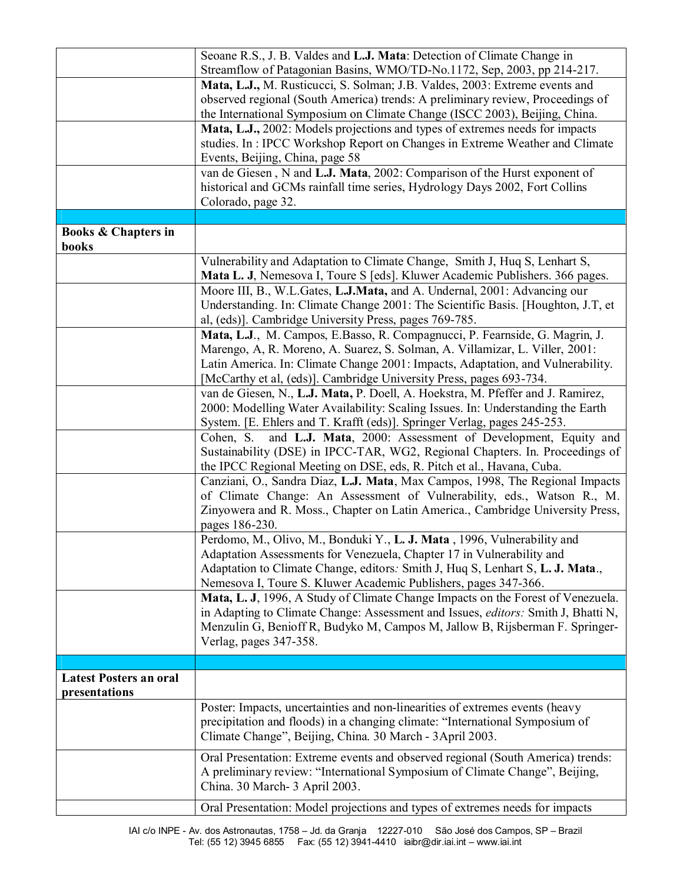|                                                | Seoane R.S., J. B. Valdes and L.J. Mata: Detection of Climate Change in<br>Streamflow of Patagonian Basins, WMO/TD-No.1172, Sep, 2003, pp 214-217.                                                                                                                                                                    |
|------------------------------------------------|-----------------------------------------------------------------------------------------------------------------------------------------------------------------------------------------------------------------------------------------------------------------------------------------------------------------------|
|                                                | Mata, L.J., M. Rusticucci, S. Solman; J.B. Valdes, 2003: Extreme events and<br>observed regional (South America) trends: A preliminary review, Proceedings of<br>the International Symposium on Climate Change (ISCC 2003), Beijing, China.                                                                           |
|                                                | Mata, L.J., 2002: Models projections and types of extremes needs for impacts<br>studies. In: IPCC Workshop Report on Changes in Extreme Weather and Climate<br>Events, Beijing, China, page 58                                                                                                                        |
|                                                | van de Giesen, N and L.J. Mata, 2002: Comparison of the Hurst exponent of<br>historical and GCMs rainfall time series, Hydrology Days 2002, Fort Collins<br>Colorado, page 32.                                                                                                                                        |
|                                                |                                                                                                                                                                                                                                                                                                                       |
| <b>Books &amp; Chapters in</b><br>books        |                                                                                                                                                                                                                                                                                                                       |
|                                                | Vulnerability and Adaptation to Climate Change, Smith J, Huq S, Lenhart S,<br>Mata L. J, Nemesova I, Toure S [eds]. Kluwer Academic Publishers. 366 pages.<br>Moore III, B., W.L.Gates, L.J.Mata, and A. Undernal, 2001: Advancing our                                                                                |
|                                                | Understanding. In: Climate Change 2001: The Scientific Basis. [Houghton, J.T, et<br>al, (eds)]. Cambridge University Press, pages 769-785.                                                                                                                                                                            |
|                                                | Mata, L.J., M. Campos, E.Basso, R. Compagnucci, P. Fearnside, G. Magrin, J.<br>Marengo, A, R. Moreno, A. Suarez, S. Solman, A. Villamizar, L. Viller, 2001:<br>Latin America. In: Climate Change 2001: Impacts, Adaptation, and Vulnerability.<br>[McCarthy et al, (eds)]. Cambridge University Press, pages 693-734. |
|                                                | van de Giesen, N., L.J. Mata, P. Doell, A. Hoekstra, M. Pfeffer and J. Ramirez,<br>2000: Modelling Water Availability: Scaling Issues. In: Understanding the Earth<br>System. [E. Ehlers and T. Krafft (eds)]. Springer Verlag, pages 245-253.                                                                        |
|                                                | and L.J. Mata, 2000: Assessment of Development, Equity and<br>Cohen, S.<br>Sustainability (DSE) in IPCC-TAR, WG2, Regional Chapters. In. Proceedings of<br>the IPCC Regional Meeting on DSE, eds, R. Pitch et al., Havana, Cuba.                                                                                      |
|                                                | Canziani, O., Sandra Diaz, L.J. Mata, Max Campos, 1998, The Regional Impacts<br>of Climate Change: An Assessment of Vulnerability, eds., Watson R., M.<br>Zinyowera and R. Moss., Chapter on Latin America., Cambridge University Press,<br>pages 186-230.                                                            |
|                                                | Perdomo, M., Olivo, M., Bonduki Y., L. J. Mata, 1996, Vulnerability and<br>Adaptation Assessments for Venezuela, Chapter 17 in Vulnerability and<br>Adaptation to Climate Change, editors: Smith J, Huq S, Lenhart S, L. J. Mata.,<br>Nemesova I, Toure S. Kluwer Academic Publishers, pages 347-366.                 |
|                                                | Mata, L. J, 1996, A Study of Climate Change Impacts on the Forest of Venezuela.<br>in Adapting to Climate Change: Assessment and Issues, editors: Smith J, Bhatti N,<br>Menzulin G, Benioff R, Budyko M, Campos M, Jallow B, Rijsberman F. Springer-<br>Verlag, pages 347-358.                                        |
|                                                |                                                                                                                                                                                                                                                                                                                       |
| <b>Latest Posters an oral</b><br>presentations |                                                                                                                                                                                                                                                                                                                       |
|                                                | Poster: Impacts, uncertainties and non-linearities of extremes events (heavy<br>precipitation and floods) in a changing climate: "International Symposium of<br>Climate Change", Beijing, China. 30 March - 3April 2003.                                                                                              |
|                                                | Oral Presentation: Extreme events and observed regional (South America) trends:<br>A preliminary review: "International Symposium of Climate Change", Beijing,<br>China. 30 March- 3 April 2003.                                                                                                                      |
|                                                | Oral Presentation: Model projections and types of extremes needs for impacts                                                                                                                                                                                                                                          |